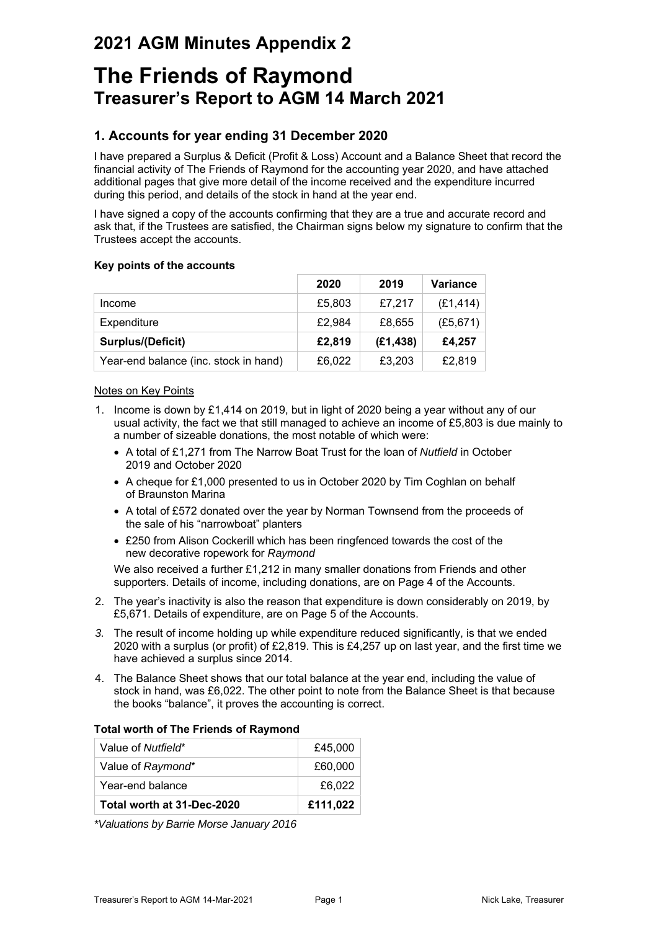## **2021 AGM Minutes Appendix 2**

# **The Friends of Raymond Treasurer's Report to AGM 14 March 2021**

## **1. Accounts for year ending 31 December 2020**

I have prepared a Surplus & Deficit (Profit & Loss) Account and a Balance Sheet that record the financial activity of The Friends of Raymond for the accounting year 2020, and have attached additional pages that give more detail of the income received and the expenditure incurred during this period, and details of the stock in hand at the year end.

I have signed a copy of the accounts confirming that they are a true and accurate record and ask that, if the Trustees are satisfied, the Chairman signs below my signature to confirm that the Trustees accept the accounts.

#### **Key points of the accounts**

|                                       | 2020   | 2019      | <b>Variance</b> |
|---------------------------------------|--------|-----------|-----------------|
| Income                                | £5,803 | £7,217    | (E1, 414)       |
| Expenditure                           | £2,984 | £8,655    | (E5, 671)       |
| Surplus/(Deficit)                     | £2,819 | (E1, 438) | £4,257          |
| Year-end balance (inc. stock in hand) | £6,022 | £3,203    | £2,819          |

#### Notes on Key Points

- 1. Income is down by £1,414 on 2019, but in light of 2020 being a year without any of our usual activity, the fact we that still managed to achieve an income of £5,803 is due mainly to a number of sizeable donations, the most notable of which were:
	- A total of £1,271 from The Narrow Boat Trust for the loan of *Nutfield* in October 2019 and October 2020
	- A cheque for £1,000 presented to us in October 2020 by Tim Coghlan on behalf of Braunston Marina
	- A total of £572 donated over the year by Norman Townsend from the proceeds of the sale of his "narrowboat" planters
	- £250 from Alison Cockerill which has been ringfenced towards the cost of the new decorative ropework for *Raymond*

We also received a further £1,212 in many smaller donations from Friends and other supporters. Details of income, including donations, are on Page 4 of the Accounts.

- 2. The year's inactivity is also the reason that expenditure is down considerably on 2019, by £5,671. Details of expenditure, are on Page 5 of the Accounts.
- *3.* The result of income holding up while expenditure reduced significantly, is that we ended 2020 with a surplus (or profit) of £2,819. This is £4,257 up on last year, and the first time we have achieved a surplus since 2014.
- 4. The Balance Sheet shows that our total balance at the year end, including the value of stock in hand, was £6,022. The other point to note from the Balance Sheet is that because the books "balance", it proves the accounting is correct.

#### **Total worth of The Friends of Raymond**

| Value of Nutfield*         | £45,000  |
|----------------------------|----------|
| Value of Raymond*          | £60,000  |
| Year-end balance           | £6,022   |
| Total worth at 31-Dec-2020 | £111,022 |

*\*Valuations by Barrie Morse January 2016*